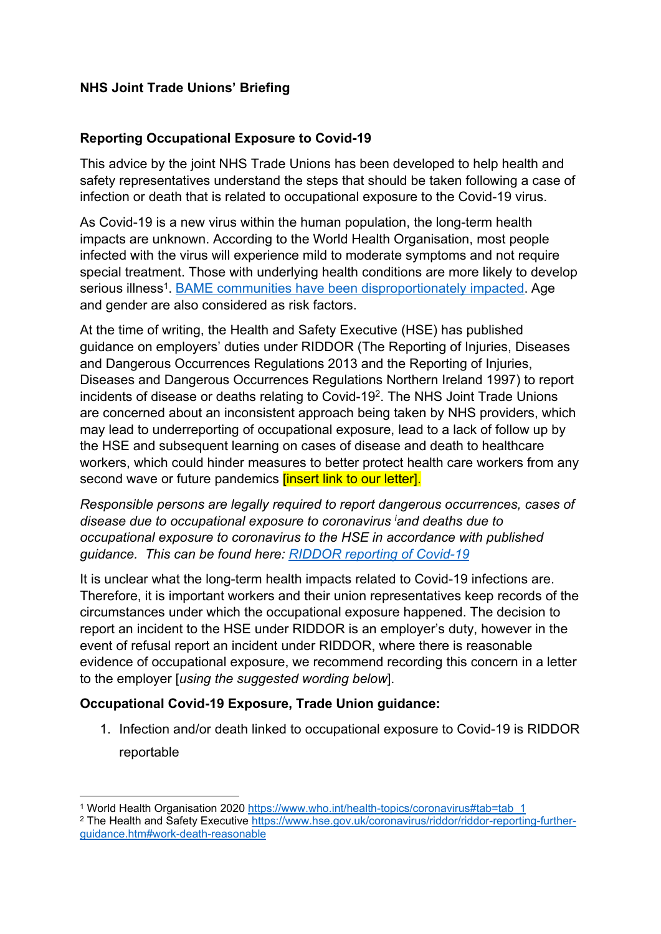## **NHS Joint Trade Unions' Briefing**

## **Reporting Occupational Exposure to Covid-19**

This advice by the joint NHS Trade Unions has been developed to help health and safety representatives understand the steps that should be taken following a case of infection or death that is related to occupational exposure to the Covid-19 virus.

As Covid-19 is a new virus within the human population, the long-term health impacts are unknown. According to the World Health Organisation, most people infected with the virus will experience mild to moderate symptoms and not require special treatment. Those with underlying health conditions are more likely to develop serious illness<sup>1</sup>. BAME communities have been disproportionately impacted. Age and gender are also considered as risk factors.

At the time of writing, the Health and Safety Executive (HSE) has published guidance on employers' duties under RIDDOR (The Reporting of Injuries, Diseases and Dangerous Occurrences Regulations 2013 and the Reporting of Injuries, Diseases and Dangerous Occurrences Regulations Northern Ireland 1997) to report incidents of disease or deaths relating to Covid-19<sup>2</sup> . The NHS Joint Trade Unions are concerned about an inconsistent approach being taken by NHS providers, which may lead to underreporting of occupational exposure, lead to a lack of follow up by the HSE and subsequent learning on cases of disease and death to healthcare workers, which could hinder measures to better protect health care workers from any second wave or future pandemics *[insert link to our letter]*.

*Responsible persons are legally required to report dangerous occurrences, cases of disease due to occupational exposure to coronavirus <sup>i</sup>and deaths due to occupational exposure to coronavirus to the HSE in accordance with published guidance. This can be found here: RIDDOR reporting of Covid-19*

It is unclear what the long-term health impacts related to Covid-19 infections are. Therefore, it is important workers and their union representatives keep records of the circumstances under which the occupational exposure happened. The decision to report an incident to the HSE under RIDDOR is an employer's duty, however in the event of refusal report an incident under RIDDOR, where there is reasonable evidence of occupational exposure, we recommend recording this concern in a letter to the employer [*using the suggested wording below*].

## **Occupational Covid-19 Exposure, Trade Union guidance:**

1. Infection and/or death linked to occupational exposure to Covid-19 is RIDDOR reportable

<sup>1</sup> World Health Organisation 2020 https://www.who.int/health-topics/coronavirus#tab=tab\_1

<sup>2</sup> The Health and Safety Executive https://www.hse.gov.uk/coronavirus/riddor/riddor-reporting-furtherguidance.htm#work-death-reasonable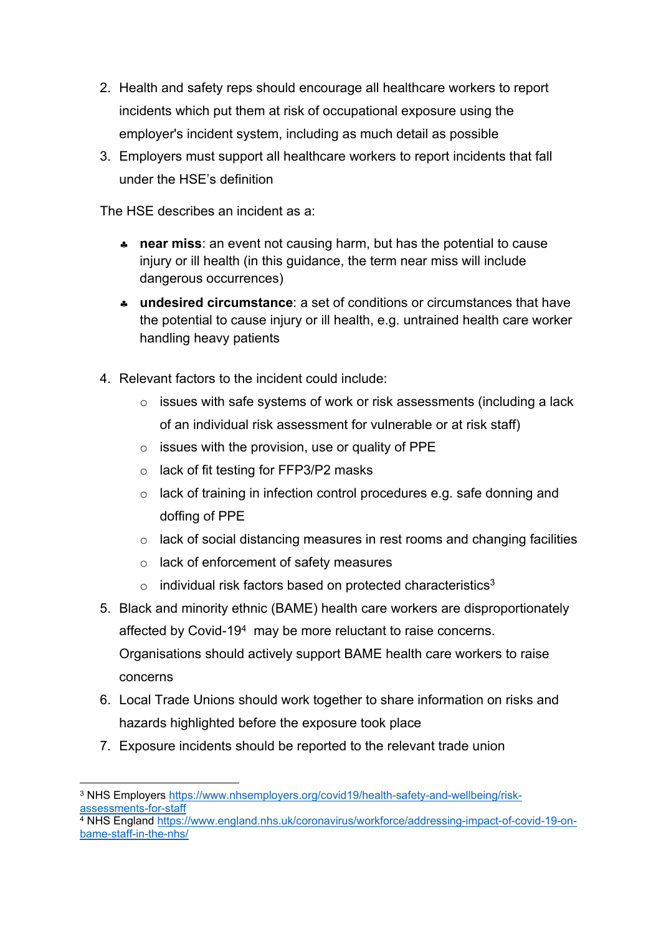- 2. Health and safety reps should encourage all healthcare workers to report incidents which put them at risk of occupational exposure using the employer's incident system, including as much detail as possible
- 3. Employers must support all healthcare workers to report incidents that fall under the HSE's definition

The HSE describes an incident as a:

- **near miss**: an event not causing harm, but has the potential to cause injury or ill health (in this guidance, the term near miss will include dangerous occurrences)
- **undesired circumstance**: a set of conditions or circumstances that have the potential to cause injury or ill health, e.g. untrained health care worker handling heavy patients
- 4. Relevant factors to the incident could include:
	- $\circ$  issues with safe systems of work or risk assessments (including a lack of an individual risk assessment for vulnerable or at risk staff)
	- $\circ$  issues with the provision, use or quality of PPE
	- $\circ$  lack of fit testing for FFP3/P2 masks
	- o lack of training in infection control procedures e.g. safe donning and doffing of PPE
	- o lack of social distancing measures in rest rooms and changing facilities
	- o lack of enforcement of safety measures
	- $\circ$  individual risk factors based on protected characteristics<sup>3</sup>
- 5. Black and minority ethnic (BAME) health care workers are disproportionately affected by Covid-19<sup>4</sup> may be more reluctant to raise concerns. Organisations should actively support BAME health care workers to raise concerns
- 6. Local Trade Unions should work together to share information on risks and hazards highlighted before the exposure took place
- 7. Exposure incidents should be reported to the relevant trade union

<sup>3</sup> NHS Employers https://www.nhsemployers.org/covid19/health-safety-and-wellbeing/riskassessments-for-staff

<sup>&</sup>lt;sup>4</sup> NHS England https://www.england.nhs.uk/coronavirus/workforce/addressing-impact-of-covid-19-onbame-staff-in-the-nhs/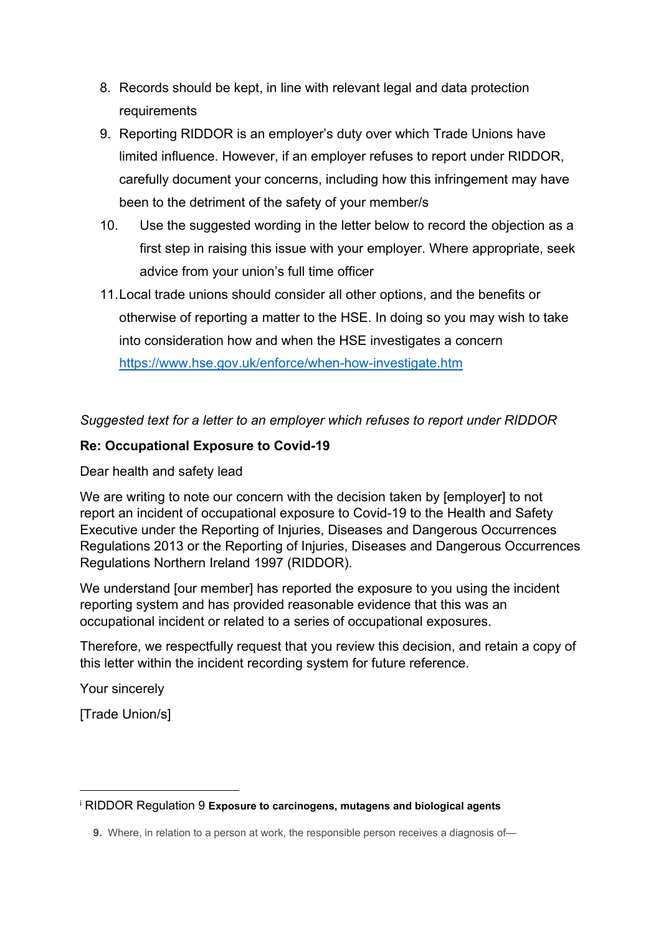- 8. Records should be kept, in line with relevant legal and data protection requirements
- 9. Reporting RIDDOR is an employer's duty over which Trade Unions have limited influence. However, if an employer refuses to report under RIDDOR, carefully document your concerns, including how this infringement may have been to the detriment of the safety of your member/s
- 10. Use the suggested wording in the letter below to record the objection as a first step in raising this issue with your employer. Where appropriate, seek advice from your union's full time officer
- 11.Local trade unions should consider all other options, and the benefits or otherwise of reporting a matter to the HSE. In doing so you may wish to take into consideration how and when the HSE investigates a concern https://www.hse.gov.uk/enforce/when-how-investigate.htm

*Suggested text for a letter to an employer which refuses to report under RIDDOR*

## **Re: Occupational Exposure to Covid-19**

Dear health and safety lead

We are writing to note our concern with the decision taken by [employer] to not report an incident of occupational exposure to Covid-19 to the Health and Safety Executive under the Reporting of Injuries, Diseases and Dangerous Occurrences Regulations 2013 or the Reporting of Injuries, Diseases and Dangerous Occurrences Regulations Northern Ireland 1997 (RIDDOR).

We understand [our member] has reported the exposure to you using the incident reporting system and has provided reasonable evidence that this was an occupational incident or related to a series of occupational exposures.

Therefore, we respectfully request that you review this decision, and retain a copy of this letter within the incident recording system for future reference.

Your sincerely

[Trade Union/s]

<sup>i</sup> RIDDOR Regulation 9 **Exposure to carcinogens, mutagens and biological agents**

**<sup>9.</sup>** Where, in relation to a person at work, the responsible person receives a diagnosis of-